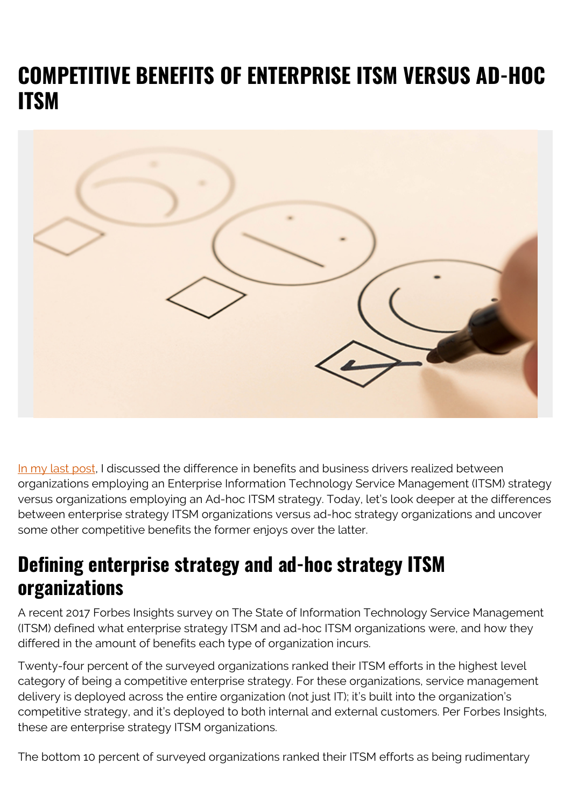# **COMPETITIVE BENEFITS OF ENTERPRISE ITSM VERSUS AD-HOC ITSM**



[In my last post,](https://blogs.bmc.com/blogs/business-benefits-service-management/) I discussed the difference in benefits and business drivers realized between organizations employing an Enterprise Information Technology Service Management (ITSM) strategy versus organizations employing an Ad-hoc ITSM strategy. Today, let's look deeper at the differences between enterprise strategy ITSM organizations versus ad-hoc strategy organizations and uncover some other competitive benefits the former enjoys over the latter.

### **Defining enterprise strategy and ad-hoc strategy ITSM organizations**

A recent 2017 Forbes Insights survey on The State of Information Technology Service Management (ITSM) defined what enterprise strategy ITSM and ad-hoc ITSM organizations were, and how they differed in the amount of benefits each type of organization incurs.

Twenty-four percent of the surveyed organizations ranked their ITSM efforts in the highest level category of being a competitive enterprise strategy. For these organizations, service management delivery is deployed across the entire organization (not just IT); it's built into the organization's competitive strategy, and it's deployed to both internal and external customers. Per Forbes Insights, these are enterprise strategy ITSM organizations.

The bottom 10 percent of surveyed organizations ranked their ITSM efforts as being rudimentary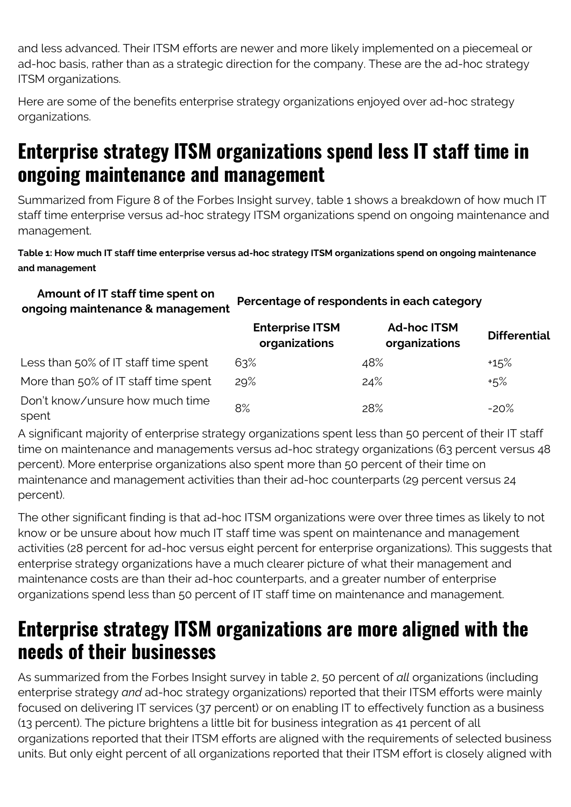and less advanced. Their ITSM efforts are newer and more likely implemented on a piecemeal or ad-hoc basis, rather than as a strategic direction for the company. These are the ad-hoc strategy ITSM organizations.

Here are some of the benefits enterprise strategy organizations enjoyed over ad-hoc strategy organizations.

## **Enterprise strategy ITSM organizations spend less IT staff time in ongoing maintenance and management**

Summarized from Figure 8 of the Forbes Insight survey, table 1 shows a breakdown of how much IT staff time enterprise versus ad-hoc strategy ITSM organizations spend on ongoing maintenance and management.

#### **Table 1: How much IT staff time enterprise versus ad-hoc strategy ITSM organizations spend on ongoing maintenance and management**

### **Amount of IT staff time spent on ongoing maintenance & management Percentage of respondents in each category**

|                                          | <b>Enterprise ITSM</b><br>organizations | <b>Ad-hoc ITSM</b><br>organizations | <b>Differential</b> |
|------------------------------------------|-----------------------------------------|-------------------------------------|---------------------|
| Less than 50% of IT staff time spent     | 63%                                     | 48%                                 | $+15%$              |
| More than 50% of IT staff time spent     | 29%                                     | 24%                                 | $+5\%$              |
| Don't know/unsure how much time<br>spent | 8%                                      | 28%                                 | $-20%$              |

A significant majority of enterprise strategy organizations spent less than 50 percent of their IT staff time on maintenance and managements versus ad-hoc strategy organizations (63 percent versus 48 percent). More enterprise organizations also spent more than 50 percent of their time on maintenance and management activities than their ad-hoc counterparts (29 percent versus 24 percent).

The other significant finding is that ad-hoc ITSM organizations were over three times as likely to not know or be unsure about how much IT staff time was spent on maintenance and management activities (28 percent for ad-hoc versus eight percent for enterprise organizations). This suggests that enterprise strategy organizations have a much clearer picture of what their management and maintenance costs are than their ad-hoc counterparts, and a greater number of enterprise organizations spend less than 50 percent of IT staff time on maintenance and management.

### **Enterprise strategy ITSM organizations are more aligned with the needs of their businesses**

As summarized from the Forbes Insight survey in table 2, 50 percent of *all* organizations (including enterprise strategy *and* ad-hoc strategy organizations) reported that their ITSM efforts were mainly focused on delivering IT services (37 percent) or on enabling IT to effectively function as a business (13 percent). The picture brightens a little bit for business integration as 41 percent of all organizations reported that their ITSM efforts are aligned with the requirements of selected business units. But only eight percent of all organizations reported that their ITSM effort is closely aligned with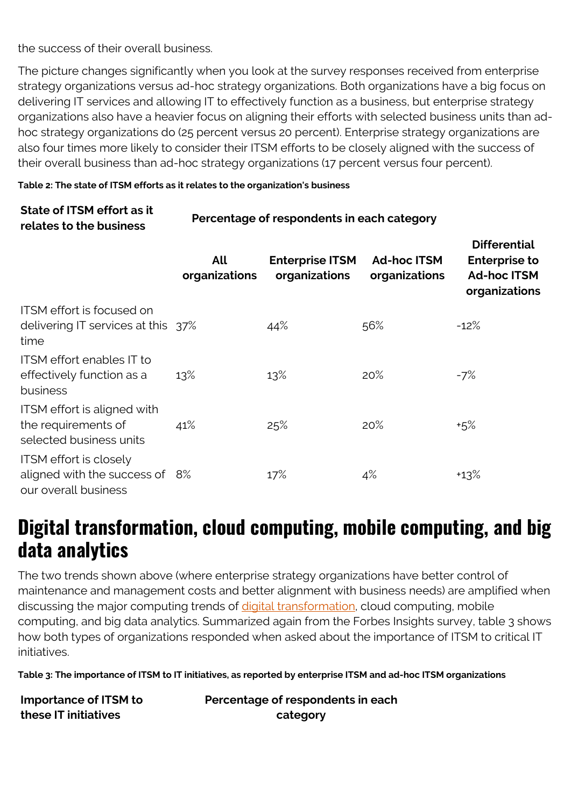the success of their overall business.

The picture changes significantly when you look at the survey responses received from enterprise strategy organizations versus ad-hoc strategy organizations. Both organizations have a big focus on delivering IT services and allowing IT to effectively function as a business, but enterprise strategy organizations also have a heavier focus on aligning their efforts with selected business units than adhoc strategy organizations do (25 percent versus 20 percent). Enterprise strategy organizations are also four times more likely to consider their ITSM efforts to be closely aligned with the success of their overall business than ad-hoc strategy organizations (17 percent versus four percent).

**Differential**

#### **Table 2: The state of ITSM efforts as it relates to the organization's business**

### **State of ITSM effort as it relates to the business Percentage of respondents in each category**

|                                                                                         | All<br>organizations | <b>Enterprise ITSM</b><br>organizations | <b>Ad-hoc ITSM</b><br>organizations | PINGI GHUQU<br><b>Enterprise to</b><br><b>Ad-hoc ITSM</b><br>organizations |
|-----------------------------------------------------------------------------------------|----------------------|-----------------------------------------|-------------------------------------|----------------------------------------------------------------------------|
| <b>ITSM</b> effort is focused on<br>delivering IT services at this 37%<br>time          |                      | 44%                                     | 56%                                 | $-12%$                                                                     |
| <b>ITSM</b> effort enables <b>IT</b> to<br>effectively function as a<br>business        | 13%                  | 13%                                     | 20%                                 | $-7%$                                                                      |
| ITSM effort is aligned with<br>the requirements of<br>selected business units           | 41%                  | 25%                                     | 20%                                 | $+5%$                                                                      |
| <b>ITSM</b> effort is closely<br>aligned with the success of 8%<br>our overall business |                      | 17%                                     | 4%                                  | $+13%$                                                                     |

### **Digital transformation, cloud computing, mobile computing, and big data analytics**

The two trends shown above (where enterprise strategy organizations have better control of maintenance and management costs and better alignment with business needs) are amplified when discussing the major computing trends of *digital transformation*, cloud computing, mobile computing, and big data analytics. Summarized again from the Forbes Insights survey, table 3 shows how both types of organizations responded when asked about the importance of ITSM to critical IT initiatives.

**Table 3: The importance of ITSM to IT initiatives, as reported by enterprise ITSM and ad-hoc ITSM organizations**

**Importance of ITSM to these IT initiatives**

**Percentage of respondents in each category**